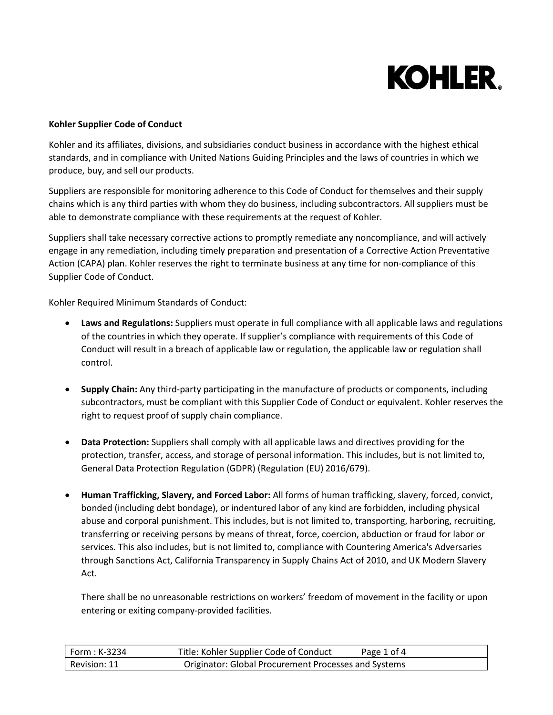

## **Kohler Supplier Code of Conduct**

Kohler and its affiliates, divisions, and subsidiaries conduct business in accordance with the highest ethical standards, and in compliance with United Nations Guiding Principles and the laws of countries in which we produce, buy, and sell our products.

Suppliers are responsible for monitoring adherence to this Code of Conduct for themselves and their supply chains which is any third parties with whom they do business, including subcontractors. All suppliers must be able to demonstrate compliance with these requirements at the request of Kohler.

Suppliers shall take necessary corrective actions to promptly remediate any noncompliance, and will actively engage in any remediation, including timely preparation and presentation of a Corrective Action Preventative Action (CAPA) plan. Kohler reserves the right to terminate business at any time for non-compliance of this Supplier Code of Conduct.

Kohler Required Minimum Standards of Conduct:

- **Laws and Regulations:** Suppliers must operate in full compliance with all applicable laws and regulations of the countries in which they operate. If supplier's compliance with requirements of this Code of Conduct will result in a breach of applicable law or regulation, the applicable law or regulation shall control.
- **Supply Chain:** Any third-party participating in the manufacture of products or components, including subcontractors, must be compliant with this Supplier Code of Conduct or equivalent. Kohler reserves the right to request proof of supply chain compliance.
- **Data Protection:** Suppliers shall comply with all applicable laws and directives providing for the protection, transfer, access, and storage of personal information. This includes, but is not limited to, General Data Protection Regulation (GDPR) (Regulation (EU) 2016/679).
- **Human Trafficking, Slavery, and Forced Labor:** All forms of human trafficking, slavery, forced, convict, bonded (including debt bondage), or indentured labor of any kind are forbidden, including physical abuse and corporal punishment. This includes, but is not limited to, transporting, harboring, recruiting, transferring or receiving persons by means of threat, force, coercion, abduction or fraud for labor or services. This also includes, but is not limited to, compliance with Countering America's Adversaries through Sanctions Act, California Transparency in Supply Chains Act of 2010, and UK Modern Slavery Act.

There shall be no unreasonable restrictions on workers' freedom of movement in the facility or upon entering or exiting company-provided facilities.

| Form : K-3234 ' | Title: Kohler Supplier Code of Conduct               | Page 1 of 4 |
|-----------------|------------------------------------------------------|-------------|
| Revision: 11    | Originator: Global Procurement Processes and Systems |             |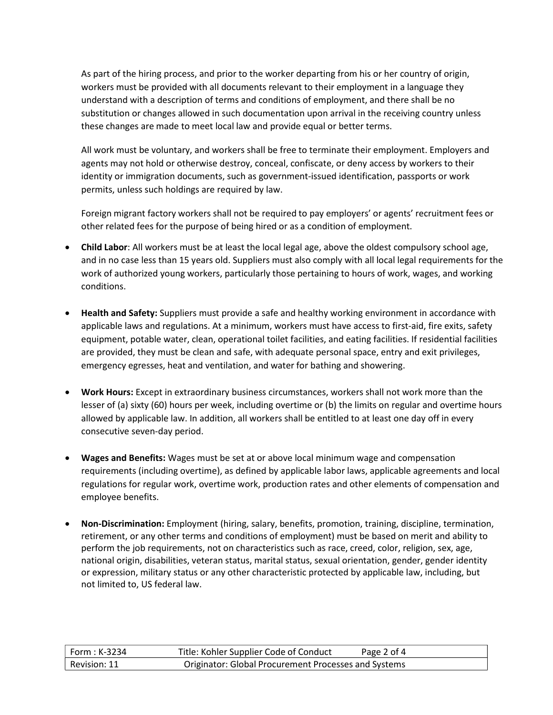As part of the hiring process, and prior to the worker departing from his or her country of origin, workers must be provided with all documents relevant to their employment in a language they understand with a description of terms and conditions of employment, and there shall be no substitution or changes allowed in such documentation upon arrival in the receiving country unless these changes are made to meet local law and provide equal or better terms.

All work must be voluntary, and workers shall be free to terminate their employment. Employers and agents may not hold or otherwise destroy, conceal, confiscate, or deny access by workers to their identity or immigration documents, such as government-issued identification, passports or work permits, unless such holdings are required by law.

Foreign migrant factory workers shall not be required to pay employers' or agents' recruitment fees or other related fees for the purpose of being hired or as a condition of employment.

- **Child Labor**: All workers must be at least the local legal age, above the oldest compulsory school age, and in no case less than 15 years old. Suppliers must also comply with all local legal requirements for the work of authorized young workers, particularly those pertaining to hours of work, wages, and working conditions.
- **Health and Safety:** Suppliers must provide a safe and healthy working environment in accordance with applicable laws and regulations. At a minimum, workers must have access to first-aid, fire exits, safety equipment, potable water, clean, operational toilet facilities, and eating facilities. If residential facilities are provided, they must be clean and safe, with adequate personal space, entry and exit privileges, emergency egresses, heat and ventilation, and water for bathing and showering.
- **Work Hours:** Except in extraordinary business circumstances, workers shall not work more than the lesser of (a) sixty (60) hours per week, including overtime or (b) the limits on regular and overtime hours allowed by applicable law. In addition, all workers shall be entitled to at least one day off in every consecutive seven-day period.
- **Wages and Benefits:** Wages must be set at or above local minimum wage and compensation requirements (including overtime), as defined by applicable labor laws, applicable agreements and local regulations for regular work, overtime work, production rates and other elements of compensation and employee benefits.
- **Non-Discrimination:** Employment (hiring, salary, benefits, promotion, training, discipline, termination, retirement, or any other terms and conditions of employment) must be based on merit and ability to perform the job requirements, not on characteristics such as race, creed, color, religion, sex, age, national origin, disabilities, veteran status, marital status, sexual orientation, gender, gender identity or expression, military status or any other characteristic protected by applicable law, including, but not limited to, US federal law.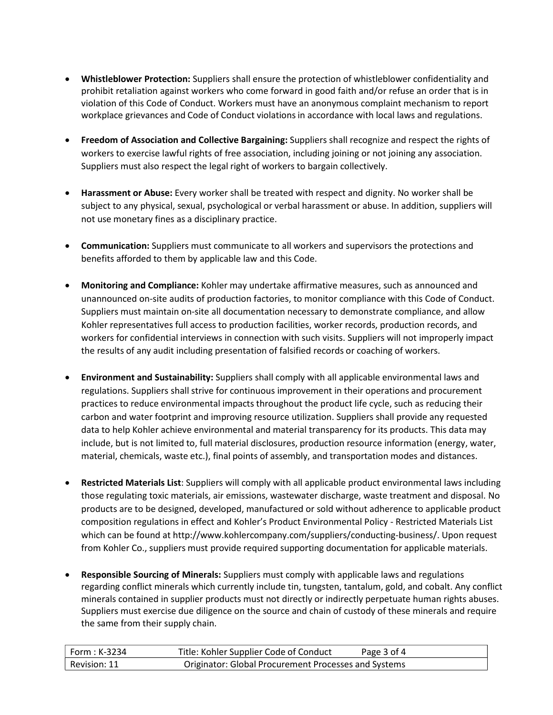- **Whistleblower Protection:** Suppliers shall ensure the protection of whistleblower confidentiality and prohibit retaliation against workers who come forward in good faith and/or refuse an order that is in violation of this Code of Conduct. Workers must have an anonymous complaint mechanism to report workplace grievances and Code of Conduct violationsin accordance with local laws and regulations.
- **Freedom of Association and Collective Bargaining:** Suppliers shall recognize and respect the rights of workers to exercise lawful rights of free association, including joining or not joining any association. Suppliers must also respect the legal right of workers to bargain collectively.
- **Harassment or Abuse:** Every worker shall be treated with respect and dignity. No worker shall be subject to any physical, sexual, psychological or verbal harassment or abuse. In addition, suppliers will not use monetary fines as a disciplinary practice.
- **Communication:** Suppliers must communicate to all workers and supervisors the protections and benefits afforded to them by applicable law and this Code.
- **Monitoring and Compliance:** Kohler may undertake affirmative measures, such as announced and unannounced on-site audits of production factories, to monitor compliance with this Code of Conduct. Suppliers must maintain on-site all documentation necessary to demonstrate compliance, and allow Kohler representatives full access to production facilities, worker records, production records, and workers for confidential interviews in connection with such visits. Suppliers will not improperly impact the results of any audit including presentation of falsified records or coaching of workers.
- **Environment and Sustainability:** Suppliers shall comply with all applicable environmental laws and regulations. Suppliers shall strive for continuous improvement in their operations and procurement practices to reduce environmental impacts throughout the product life cycle, such as reducing their carbon and water footprint and improving resource utilization. Suppliers shall provide any requested data to help Kohler achieve environmental and material transparency for its products. This data may include, but is not limited to, full material disclosures, production resource information (energy, water, material, chemicals, waste etc.), final points of assembly, and transportation modes and distances.
- **Restricted Materials List**: Suppliers will comply with all applicable product environmental laws including those regulating toxic materials, air emissions, wastewater discharge, waste treatment and disposal. No products are to be designed, developed, manufactured or sold without adherence to applicable product composition regulations in effect and Kohler's Product Environmental Policy - Restricted Materials List which can be found a[t http://www.kohlercompany.com/suppliers/conducting-business/. U](http://www.kohlercompany.com/suppliers/conducting-business/)pon request from Kohler Co., suppliers must provide required supporting documentation for applicable materials.
- **Responsible Sourcing of Minerals:** Suppliers must comply with applicable laws and regulations regarding conflict minerals which currently include tin, tungsten, tantalum, gold, and cobalt. Any conflict minerals contained in supplier products must not directly or indirectly perpetuate human rights abuses. Suppliers must exercise due diligence on the source and chain of custody of these minerals and require the same from their supply chain.

| ' Form : K-3234 | Title: Kohler Supplier Code of Conduct               | Page 3 of 4 |
|-----------------|------------------------------------------------------|-------------|
| Revision: 11    | Originator: Global Procurement Processes and Systems |             |